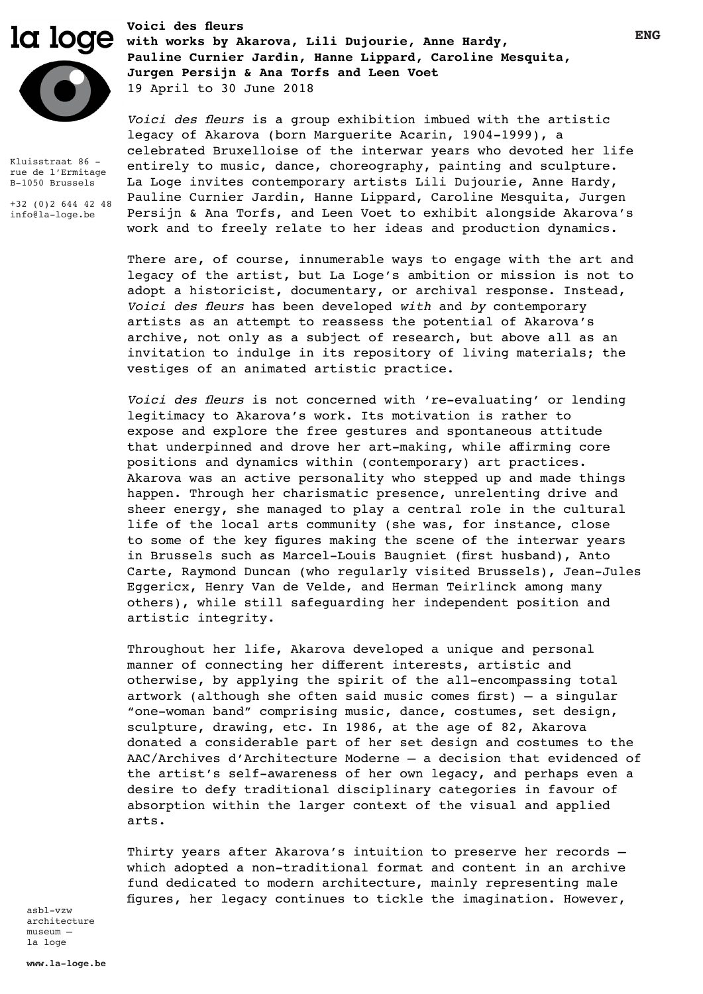**Voici des fleurs**



Kluisstraat 86 rue de l'Ermitage B-1050 Brussels

+32 (0)2 644 42 48 info@la-loge.be

**with works by Akarova, Lili Dujourie, Anne Hardy, Pauline Curnier Jardin, Hanne Lippard, Caroline Mesquita, Jurgen Persijn & Ana Torfs and Leen Voet** 19 April to 30 June 2018

> *Voici des fleurs* is a group exhibition imbued with the artistic legacy of Akarova (born Marguerite Acarin, 1904-1999), a celebrated Bruxelloise of the interwar years who devoted her life entirely to music, dance, choreography, painting and sculpture. La Loge invites contemporary artists Lili Dujourie, Anne Hardy, Pauline Curnier Jardin, Hanne Lippard, Caroline Mesquita, Jurgen Persijn & Ana Torfs, and Leen Voet to exhibit alongside Akarova's work and to freely relate to her ideas and production dynamics.

> There are, of course, innumerable ways to engage with the art and legacy of the artist, but La Loge's ambition or mission is not to adopt a historicist, documentary, or archival response. Instead, *Voici des fleurs* has been developed *with* and *by* contemporary artists as an attempt to reassess the potential of Akarova's archive, not only as a subject of research, but above all as an invitation to indulge in its repository of living materials; the vestiges of an animated artistic practice.

*Voici des fleurs* is not concerned with 're-evaluating' or lending legitimacy to Akarova's work. Its motivation is rather to expose and explore the free gestures and spontaneous attitude that underpinned and drove her art-making, while affirming core positions and dynamics within (contemporary) art practices. Akarova was an active personality who stepped up and made things happen. Through her charismatic presence, unrelenting drive and sheer energy, she managed to play a central role in the cultural life of the local arts community (she was, for instance, close to some of the key figures making the scene of the interwar years in Brussels such as Marcel-Louis Baugniet (first husband), Anto Carte, Raymond Duncan (who regularly visited Brussels), Jean-Jules Eggericx, Henry Van de Velde, and Herman Teirlinck among many others), while still safeguarding her independent position and artistic integrity.

Throughout her life, Akarova developed a unique and personal manner of connecting her different interests, artistic and otherwise, by applying the spirit of the all-encompassing total artwork (although she often said music comes first) – a singular "one-woman band" comprising music, dance, costumes, set design, sculpture, drawing, etc. In 1986, at the age of 82, Akarova donated a considerable part of her set design and costumes to the AAC/Archives d'Architecture Moderne – a decision that evidenced of the artist's self-awareness of her own legacy, and perhaps even a desire to defy traditional disciplinary categories in favour of absorption within the larger context of the visual and applied arts.

Thirty years after Akarova's intuition to preserve her records – which adopted a non-traditional format and content in an archive fund dedicated to modern architecture, mainly representing male figures, her legacy continues to tickle the imagination. However,

asbl-vzw architecture museum – la loge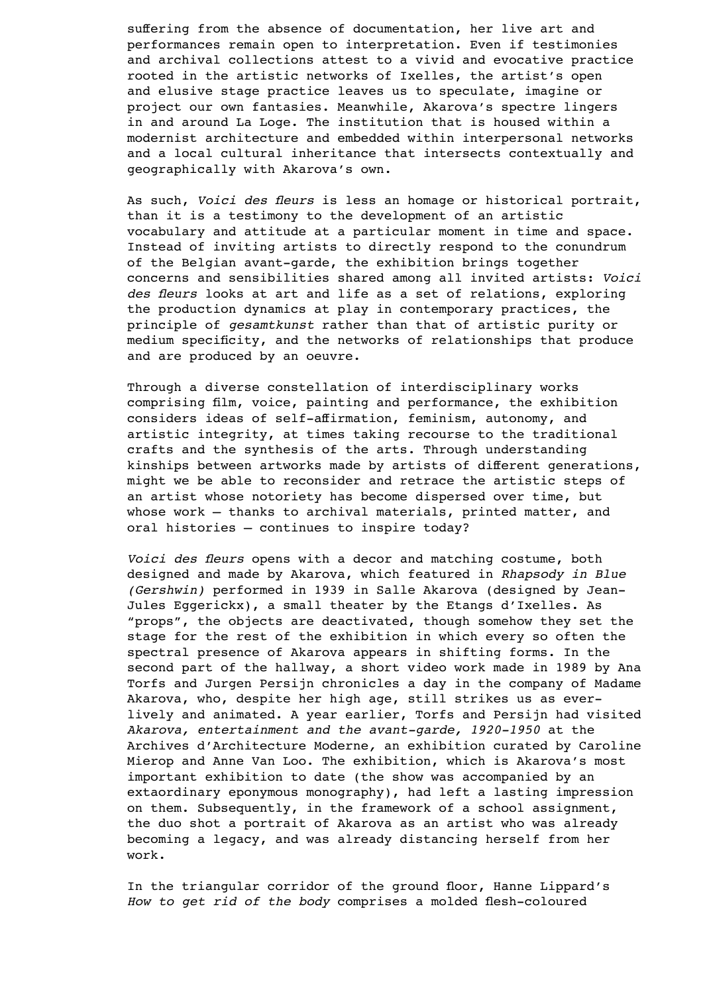suffering from the absence of documentation, her live art and performances remain open to interpretation. Even if testimonies and archival collections attest to a vivid and evocative practice rooted in the artistic networks of Ixelles, the artist's open and elusive stage practice leaves us to speculate, imagine or project our own fantasies. Meanwhile, Akarova's spectre lingers in and around La Loge. The institution that is housed within a modernist architecture and embedded within interpersonal networks and a local cultural inheritance that intersects contextually and geographically with Akarova's own.

As such, *Voici des fleurs* is less an homage or historical portrait, than it is a testimony to the development of an artistic vocabulary and attitude at a particular moment in time and space. Instead of inviting artists to directly respond to the conundrum of the Belgian avant-garde, the exhibition brings together concerns and sensibilities shared among all invited artists: *Voici des fleurs* looks at art and life as a set of relations, exploring the production dynamics at play in contemporary practices, the principle of *gesamtkunst* rather than that of artistic purity or medium specificity, and the networks of relationships that produce and are produced by an oeuvre.

Through a diverse constellation of interdisciplinary works comprising film, voice, painting and performance, the exhibition considers ideas of self-affirmation, feminism, autonomy, and artistic integrity, at times taking recourse to the traditional crafts and the synthesis of the arts. Through understanding kinships between artworks made by artists of different generations, might we be able to reconsider and retrace the artistic steps of an artist whose notoriety has become dispersed over time, but whose work – thanks to archival materials, printed matter, and oral histories – continues to inspire today?

*Voici des fleurs* opens with a decor and matching costume, both designed and made by Akarova, which featured in *Rhapsody in Blue (Gershwin)* performed in 1939 in Salle Akarova (designed by Jean-Jules Eggerickx), a small theater by the Etangs d'Ixelles. As "props", the objects are deactivated, though somehow they set the stage for the rest of the exhibition in which every so often the spectral presence of Akarova appears in shifting forms. In the second part of the hallway, a short video work made in 1989 by Ana Torfs and Jurgen Persijn chronicles a day in the company of Madame Akarova, who, despite her high age, still strikes us as everlively and animated. A year earlier, Torfs and Persijn had visited *Akarova, entertainment and the avant-garde, 1920-1950* at the Archives d'Architecture Moderne*,* an exhibition curated by Caroline Mierop and Anne Van Loo. The exhibition, which is Akarova's most important exhibition to date (the show was accompanied by an extaordinary eponymous monography), had left a lasting impression on them. Subsequently, in the framework of a school assignment, the duo shot a portrait of Akarova as an artist who was already becoming a legacy, and was already distancing herself from her work.

In the triangular corridor of the ground floor, Hanne Lippard's *How to get rid of the body* comprises a molded flesh-coloured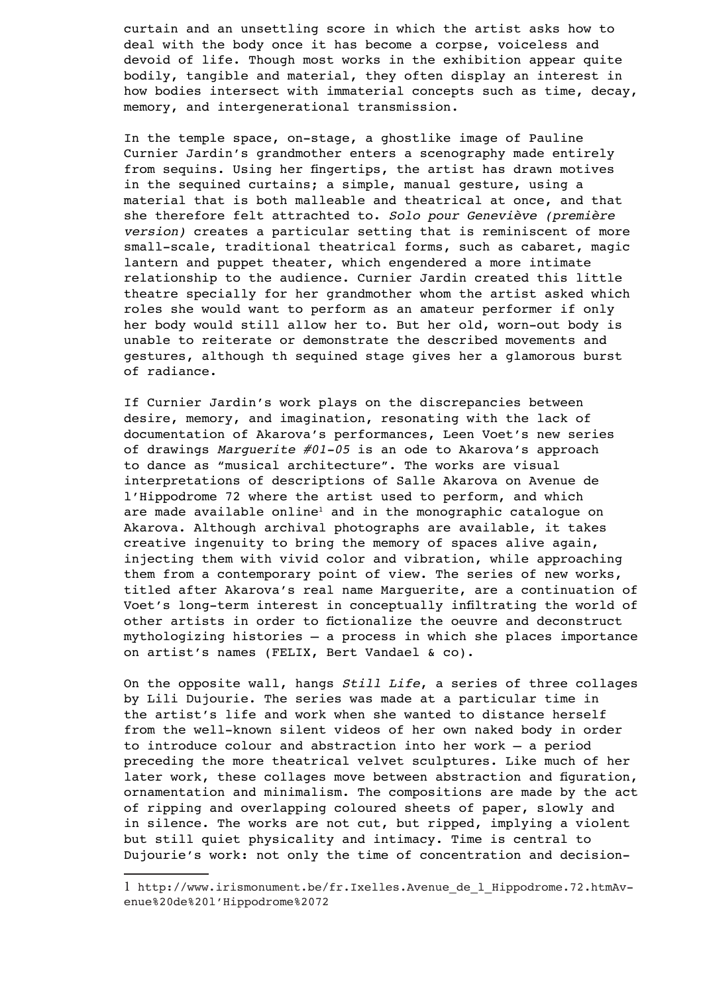curtain and an unsettling score in which the artist asks how to deal with the body once it has become a corpse, voiceless and devoid of life. Though most works in the exhibition appear quite bodily, tangible and material, they often display an interest in how bodies intersect with immaterial concepts such as time, decay, memory, and intergenerational transmission.

In the temple space, on-stage, a ghostlike image of Pauline Curnier Jardin's grandmother enters a scenography made entirely from sequins. Using her fingertips, the artist has drawn motives in the sequined curtains; a simple, manual gesture, using a material that is both malleable and theatrical at once, and that she therefore felt attrachted to. *Solo pour Geneviève (première version)* creates a particular setting that is reminiscent of more small-scale, traditional theatrical forms, such as cabaret, magic lantern and puppet theater, which engendered a more intimate relationship to the audience. Curnier Jardin created this little theatre specially for her grandmother whom the artist asked which roles she would want to perform as an amateur performer if only her body would still allow her to. But her old, worn-out body is unable to reiterate or demonstrate the described movements and gestures, although th sequined stage gives her a glamorous burst of radiance.

If Curnier Jardin's work plays on the discrepancies between desire, memory, and imagination, resonating with the lack of documentation of Akarova's performances, Leen Voet's new series of drawings *Marguerite #01-05* is an ode to Akarova's approach to dance as "musical architecture". The works are visual interpretations of descriptions of Salle Akarova on Avenue de l'Hippodrome 72 where the artist used to perform, and which are made available online<sup>1</sup> and in the monographic catalogue on Akarova. Although archival photographs are available, it takes creative ingenuity to bring the memory of spaces alive again, injecting them with vivid color and vibration, while approaching them from a contemporary point of view. The series of new works, titled after Akarova's real name Marguerite, are a continuation of Voet's long-term interest in conceptually infiltrating the world of other artists in order to fictionalize the oeuvre and deconstruct mythologizing histories – a process in which she places importance on artist's names (FELIX, Bert Vandael & co).

On the opposite wall, hangs *Still Life*, a series of three collages by Lili Dujourie. The series was made at a particular time in the artist's life and work when she wanted to distance herself from the well-known silent videos of her own naked body in order to introduce colour and abstraction into her work – a period preceding the more theatrical velvet sculptures. Like much of her later work, these collages move between abstraction and figuration, ornamentation and minimalism. The compositions are made by the act of ripping and overlapping coloured sheets of paper, slowly and in silence. The works are not cut, but ripped, implying a violent but still quiet physicality and intimacy. Time is central to Dujourie's work: not only the time of concentration and decision-

<sup>1</sup> http://www.irismonument.be/fr.Ixelles.Avenue\_de\_l\_Hippodrome.72.htmAvenue%20de%20l'Hippodrome%2072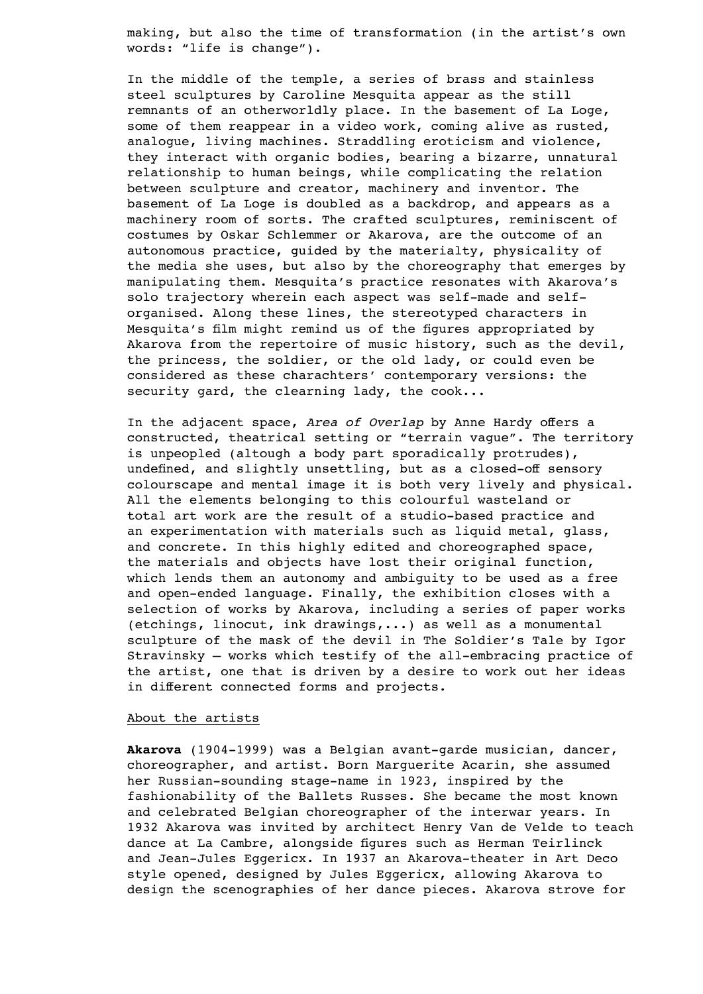making, but also the time of transformation (in the artist's own words: "life is change").

In the middle of the temple, a series of brass and stainless steel sculptures by Caroline Mesquita appear as the still remnants of an otherworldly place. In the basement of La Loge, some of them reappear in a video work, coming alive as rusted, analogue, living machines. Straddling eroticism and violence, they interact with organic bodies, bearing a bizarre, unnatural relationship to human beings, while complicating the relation between sculpture and creator, machinery and inventor. The basement of La Loge is doubled as a backdrop, and appears as a machinery room of sorts. The crafted sculptures, reminiscent of costumes by Oskar Schlemmer or Akarova, are the outcome of an autonomous practice, guided by the materialty, physicality of the media she uses, but also by the choreography that emerges by manipulating them. Mesquita's practice resonates with Akarova's solo trajectory wherein each aspect was self-made and selforganised. Along these lines, the stereotyped characters in Mesquita's film might remind us of the figures appropriated by Akarova from the repertoire of music history, such as the devil, the princess, the soldier, or the old lady, or could even be considered as these charachters' contemporary versions: the security gard, the clearning lady, the cook...

In the adjacent space, *Area of Overlap* by Anne Hardy offers a constructed, theatrical setting or "terrain vague". The territory is unpeopled (altough a body part sporadically protrudes), undefined, and slightly unsettling, but as a closed-off sensory colourscape and mental image it is both very lively and physical. All the elements belonging to this colourful wasteland or total art work are the result of a studio-based practice and an experimentation with materials such as liquid metal, glass, and concrete. In this highly edited and choreographed space, the materials and objects have lost their original function, which lends them an autonomy and ambiguity to be used as a free and open-ended language. Finally, the exhibition closes with a selection of works by Akarova, including a series of paper works (etchings, linocut, ink drawings,...) as well as a monumental sculpture of the mask of the devil in The Soldier's Tale by Igor Stravinsky – works which testify of the all-embracing practice of the artist, one that is driven by a desire to work out her ideas in different connected forms and projects.

# About the artists

**Akarova** (1904-1999) was a Belgian avant-garde musician, dancer, choreographer, and artist. Born Marguerite Acarin, she assumed her Russian-sounding stage-name in 1923, inspired by the fashionability of the Ballets Russes. She became the most known and celebrated Belgian choreographer of the interwar years. In 1932 Akarova was invited by architect Henry Van de Velde to teach dance at La Cambre, alongside figures such as Herman Teirlinck and Jean-Jules Eggericx. In 1937 an Akarova-theater in Art Deco style opened, designed by Jules Eggericx, allowing Akarova to design the scenographies of her dance pieces. Akarova strove for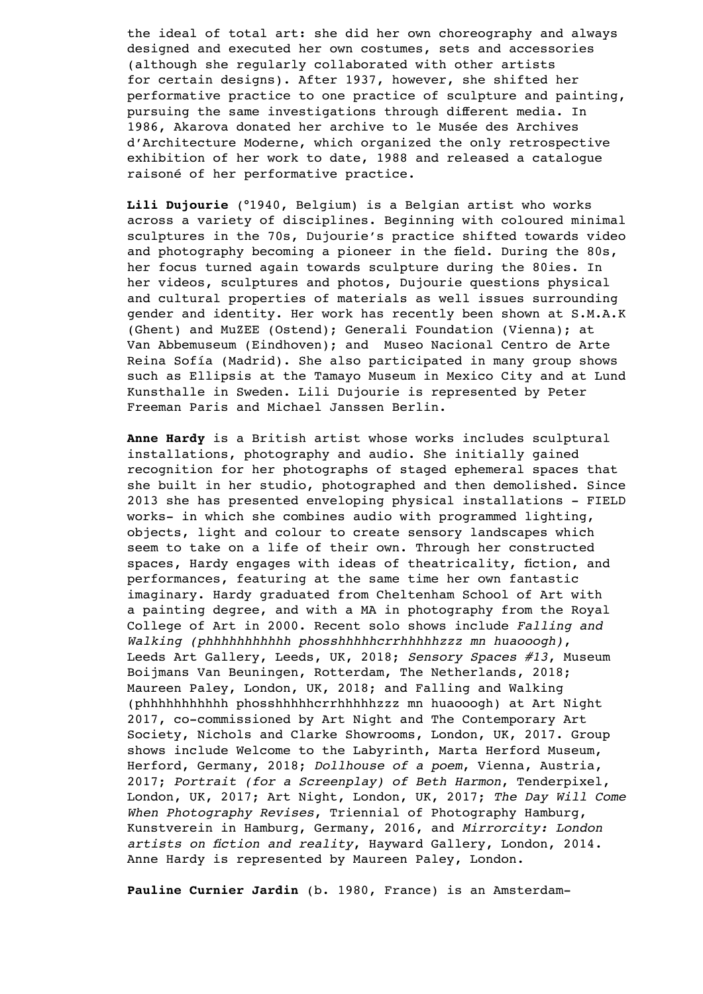the ideal of total art: she did her own choreography and always designed and executed her own costumes, sets and accessories (although she regularly collaborated with other artists for certain designs). After 1937, however, she shifted her performative practice to one practice of sculpture and painting, pursuing the same investigations through different media. In 1986, Akarova donated her archive to le Musée des Archives d'Architecture Moderne, which organized the only retrospective exhibition of her work to date, 1988 and released a catalogue raisoné of her performative practice.

**Lili Dujourie** (°1940, Belgium) is a Belgian artist who works across a variety of disciplines. Beginning with coloured minimal sculptures in the 70s, Dujourie's practice shifted towards video and photography becoming a pioneer in the field. During the 80s, her focus turned again towards sculpture during the 80ies. In her videos, sculptures and photos, Dujourie questions physical and cultural properties of materials as well issues surrounding gender and identity. Her work has recently been shown at S.M.A.K (Ghent) and MuZEE (Ostend); Generali Foundation (Vienna); at Van Abbemuseum (Eindhoven); and Museo Nacional Centro de Arte Reina Sofía (Madrid). She also participated in many group shows such as Ellipsis at the Tamayo Museum in Mexico City and at Lund Kunsthalle in Sweden. Lili Dujourie is represented by Peter Freeman Paris and Michael Janssen Berlin.

**Anne Hardy** is a British artist whose works includes sculptural installations, photography and audio. She initially gained recognition for her photographs of staged ephemeral spaces that she built in her studio, photographed and then demolished. Since 2013 she has presented enveloping physical installations - FIELD works- in which she combines audio with programmed lighting, objects, light and colour to create sensory landscapes which seem to take on a life of their own. Through her constructed spaces, Hardy engages with ideas of theatricality, fiction, and performances, featuring at the same time her own fantastic imaginary. Hardy graduated from Cheltenham School of Art with a painting degree, and with a MA in photography from the Royal College of Art in 2000. Recent solo shows include *Falling and Walking (phhhhhhhhhhh phosshhhhhcrrhhhhhzzz mn huaooogh)*, Leeds Art Gallery, Leeds, UK, 2018; *Sensory Spaces #13*, Museum Boijmans Van Beuningen, Rotterdam, The Netherlands, 2018; Maureen Paley, London, UK, 2018; and Falling and Walking (phhhhhhhhhhh phosshhhhhcrrhhhhhzzz mn huaooogh) at Art Night 2017, co-commissioned by Art Night and The Contemporary Art Society, Nichols and Clarke Showrooms, London, UK, 2017. Group shows include Welcome to the Labyrinth, Marta Herford Museum, Herford, Germany, 2018; *Dollhouse of a poem*, Vienna, Austria, 2017; *Portrait (for a Screenplay) of Beth Harmon*, Tenderpixel, London, UK, 2017; Art Night, London, UK, 2017; *The Day Will Come When Photography Revises*, Triennial of Photography Hamburg, Kunstverein in Hamburg, Germany, 2016, and *Mirrorcity: London artists on fiction and reality*, Hayward Gallery, London, 2014. Anne Hardy is represented by Maureen Paley, London.

**Pauline Curnier Jardin** (b. 1980, France) is an Amsterdam-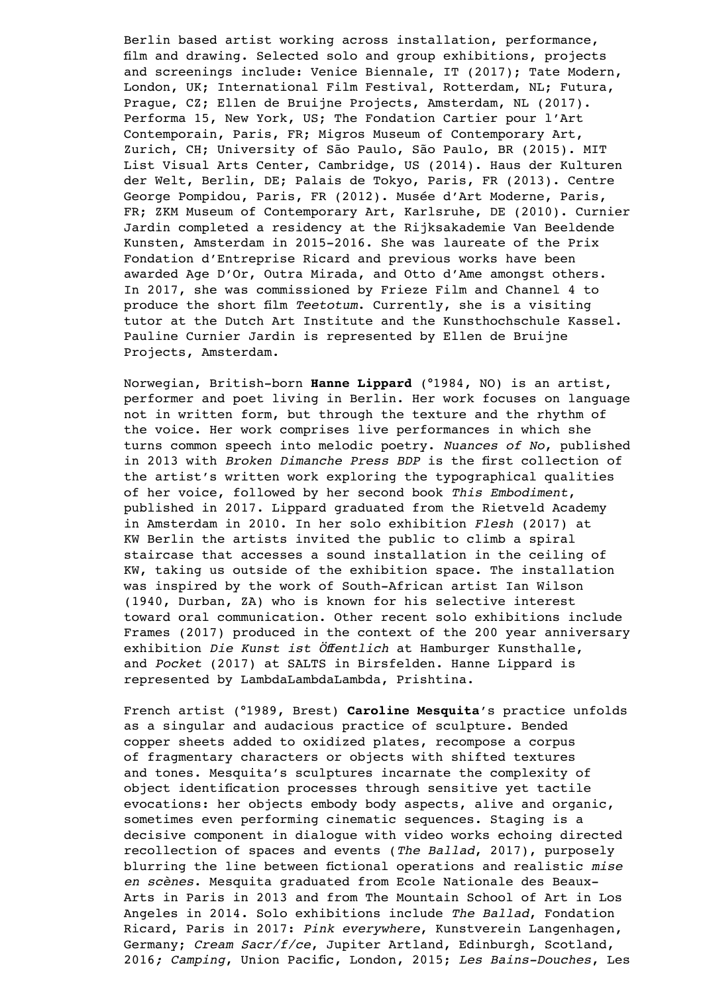Berlin based artist working across installation, performance, film and drawing. Selected solo and group exhibitions, projects and screenings include: Venice Biennale, IT (2017); Tate Modern, London, UK; International Film Festival, Rotterdam, NL; Futura, Prague, CZ; Ellen de Bruijne Projects, Amsterdam, NL (2017). Performa 15, New York, US; The Fondation Cartier pour l'Art Contemporain, Paris, FR; Migros Museum of Contemporary Art, Zurich, CH; University of São Paulo, São Paulo, BR (2015). MIT List Visual Arts Center, Cambridge, US (2014). Haus der Kulturen der Welt, Berlin, DE; Palais de Tokyo, Paris, FR (2013). Centre George Pompidou, Paris, FR (2012). Musée d'Art Moderne, Paris, FR; ZKM Museum of Contemporary Art, Karlsruhe, DE (2010). Curnier Jardin completed a residency at the Rijksakademie Van Beeldende Kunsten, Amsterdam in 2015-2016. She was laureate of the Prix Fondation d'Entreprise Ricard and previous works have been awarded Age D'Or, Outra Mirada, and Otto d'Ame amongst others. In 2017, she was commissioned by Frieze Film and Channel 4 to produce the short film *Teetotum*. Currently, she is a visiting tutor at the Dutch Art Institute and the Kunsthochschule Kassel. Pauline Curnier Jardin is represented by Ellen de Bruijne Projects, Amsterdam.

Norwegian, British-born **Hanne Lippard** (°1984, NO) is an artist, performer and poet living in Berlin. Her work focuses on language not in written form, but through the texture and the rhythm of the voice. Her work comprises live performances in which she turns common speech into melodic poetry. *Nuances of No*, published in 2013 with *Broken Dimanche Press BDP* is the first collection of the artist's written work exploring the typographical qualities of her voice, followed by her second book *This Embodiment*, published in 2017. Lippard graduated from the Rietveld Academy in Amsterdam in 2010. In her solo exhibition *Flesh* (2017) at KW Berlin the artists invited the public to climb a spiral staircase that accesses a sound installation in the ceiling of KW, taking us outside of the exhibition space. The installation was inspired by the work of South-African artist Ian Wilson (1940, Durban, ZA) who is known for his selective interest toward oral communication. Other recent solo exhibitions include Frames (2017) produced in the context of the 200 year anniversary exhibition *Die Kunst ist Öffentlich* at Hamburger Kunsthalle, and *Pocket* (2017) at SALTS in Birsfelden. Hanne Lippard is represented by LambdaLambdaLambda, Prishtina.

French artist (°1989, Brest) **Caroline Mesquita**'s practice unfolds as a singular and audacious practice of sculpture. Bended copper sheets added to oxidized plates, recompose a corpus of fragmentary characters or objects with shifted textures and tones. Mesquita's sculptures incarnate the complexity of object identification processes through sensitive yet tactile evocations: her objects embody body aspects, alive and organic, sometimes even performing cinematic sequences. Staging is a decisive component in dialogue with video works echoing directed recollection of spaces and events (*The Ballad*, 2017), purposely blurring the line between fictional operations and realistic *mise en scènes*. Mesquita graduated from Ecole Nationale des Beaux-Arts in Paris in 2013 and from The Mountain School of Art in Los Angeles in 2014. Solo exhibitions include *The Ballad*, Fondation Ricard, Paris in 2017: *Pink everywhere*, Kunstverein Langenhagen, Germany; *Cream Sacr/f/ce*, Jupiter Artland, Edinburgh, Scotland, 2016*; Camping*, Union Pacific, London, 2015; *Les Bains-Douches*, Les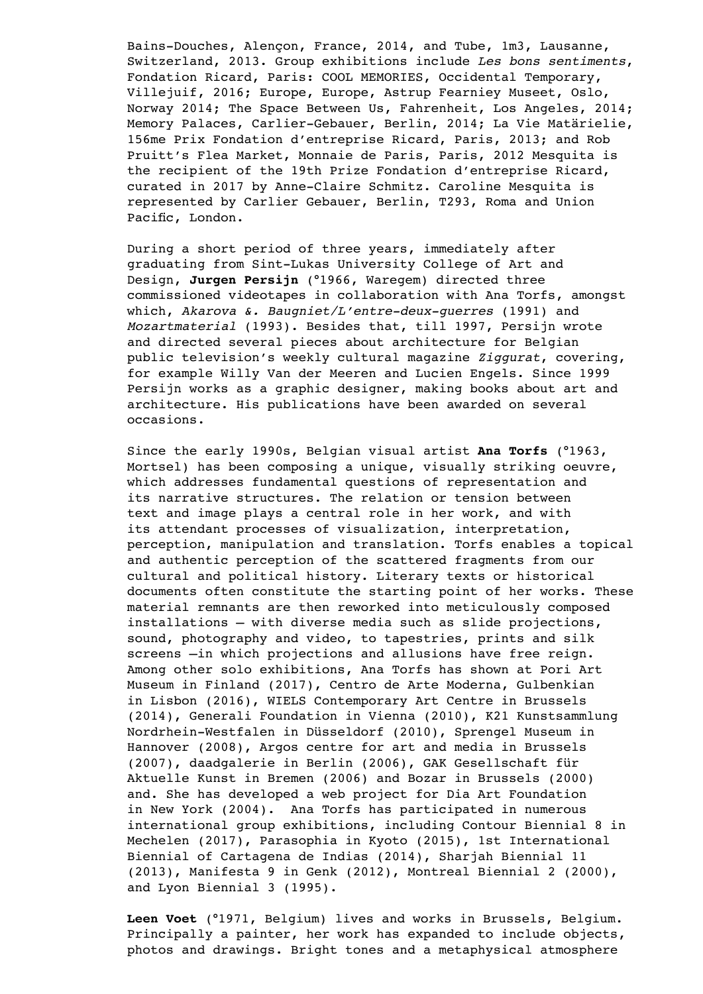Bains-Douches, Alençon, France, 2014, and Tube, 1m3, Lausanne, Switzerland, 2013. Group exhibitions include *Les bons sentiments*, Fondation Ricard, Paris: COOL MEMORIES, Occidental Temporary, Villejuif, 2016; Europe, Europe, Astrup Fearniey Museet, Oslo, Norway 2014; The Space Between Us, Fahrenheit, Los Angeles, 2014; Memory Palaces, Carlier-Gebauer, Berlin, 2014; La Vie Matärielie, 156me Prix Fondation d'entreprise Ricard, Paris, 2013; and Rob Pruitt's Flea Market, Monnaie de Paris, Paris, 2012 Mesquita is the recipient of the 19th Prize Fondation d'entreprise Ricard, curated in 2017 by Anne-Claire Schmitz. Caroline Mesquita is represented by Carlier Gebauer, Berlin, T293, Roma and Union Pacific, London.

During a short period of three years, immediately after graduating from Sint-Lukas University College of Art and Design, **Jurgen Persijn** (°1966, Waregem) directed three commissioned videotapes in collaboration with Ana Torfs, amongst which, *Akarova &. Baugniet/L'entre-deux-guerres* (1991) and *Mozartmaterial* (1993). Besides that, till 1997, Persijn wrote and directed several pieces about architecture for Belgian public television's weekly cultural magazine *Ziggurat*, covering, for example Willy Van der Meeren and Lucien Engels. Since 1999 Persijn works as a graphic designer, making books about art and architecture. His publications have been awarded on several occasions.

Since the early 1990s, Belgian visual artist **Ana Torfs** (°1963, Mortsel) has been composing a unique, visually striking oeuvre, which addresses fundamental questions of representation and its narrative structures. The relation or tension between text and image plays a central role in her work, and with its attendant processes of visualization, interpretation, perception, manipulation and translation. Torfs enables a topical and authentic perception of the scattered fragments from our cultural and political history. Literary texts or historical documents often constitute the starting point of her works. These material remnants are then reworked into meticulously composed installations – with diverse media such as slide projections, sound, photography and video, to tapestries, prints and silk screens –in which projections and allusions have free reign. Among other solo exhibitions, Ana Torfs has shown at Pori Art Museum in Finland (2017), Centro de Arte Moderna, Gulbenkian in Lisbon (2016), WIELS Contemporary Art Centre in Brussels (2014), Generali Foundation in Vienna (2010), K21 Kunstsammlung Nordrhein-Westfalen in Düsseldorf (2010), Sprengel Museum in Hannover (2008), Argos centre for art and media in Brussels (2007), daadgalerie in Berlin (2006), GAK Gesellschaft für Aktuelle Kunst in Bremen (2006) and Bozar in Brussels (2000) and. She has developed a web project for Dia Art Foundation in New York (2004). Ana Torfs has participated in numerous international group exhibitions, including Contour Biennial 8 in Mechelen (2017), Parasophia in Kyoto (2015), 1st International Biennial of Cartagena de Indias (2014), Sharjah Biennial 11 (2013), Manifesta 9 in Genk (2012), Montreal Biennial 2 (2000), and Lyon Biennial 3 (1995).

**Leen Voet** (°1971, Belgium) lives and works in Brussels, Belgium. Principally a painter, her work has expanded to include objects, photos and drawings. Bright tones and a metaphysical atmosphere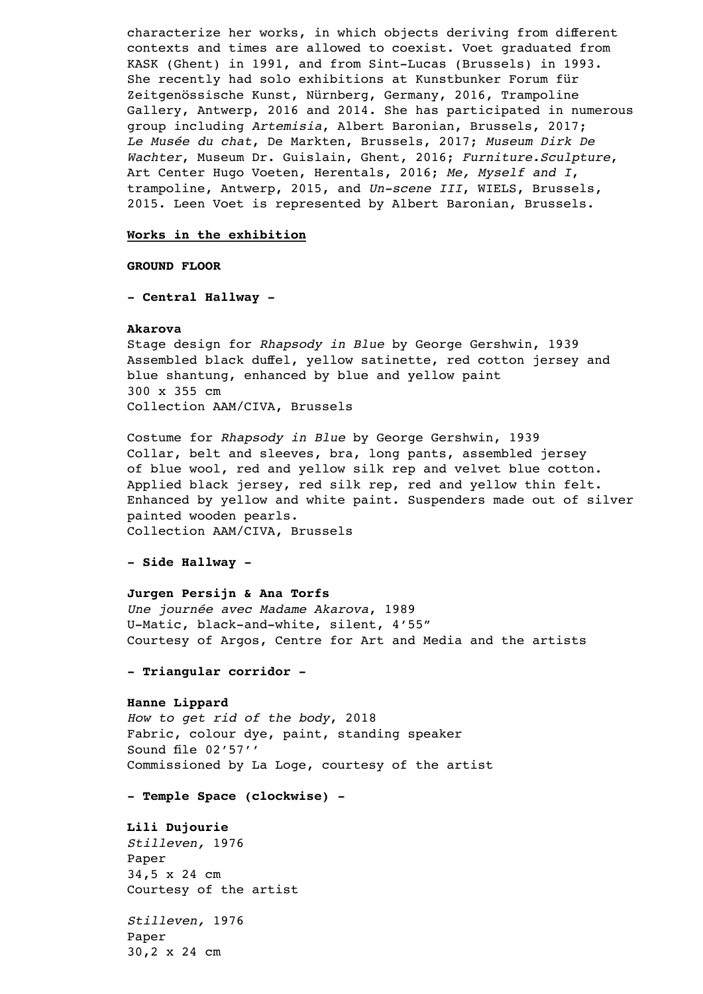characterize her works, in which objects deriving from different contexts and times are allowed to coexist. Voet graduated from KASK (Ghent) in 1991, and from Sint-Lucas (Brussels) in 1993. She recently had solo exhibitions at Kunstbunker Forum für Zeitgenössische Kunst, Nürnberg, Germany, 2016, Trampoline Gallery, Antwerp, 2016 and 2014. She has participated in numerous group including *Artemisia*, Albert Baronian, Brussels, 2017; *Le Musée du chat*, De Markten, Brussels, 2017; *Museum Dirk De Wachter*, Museum Dr. Guislain, Ghent, 2016; *Furniture.Sculpture*, Art Center Hugo Voeten, Herentals, 2016; *Me, Myself and I*, trampoline, Antwerp, 2015, and *Un-scene III*, WIELS, Brussels, 2015. Leen Voet is represented by Albert Baronian, Brussels.

### **Works in the exhibition**

# **GROUND FLOOR**

**- Central Hallway -** 

#### **Akarova**

Stage design for *Rhapsody in Blue* by George Gershwin, 1939 Assembled black duffel, yellow satinette, red cotton jersey and blue shantung, enhanced by blue and yellow paint 300 x 355 cm Collection AAM/CIVA, Brussels

Costume for *Rhapsody in Blue* by George Gershwin, 1939 Collar, belt and sleeves, bra, long pants, assembled jersey of blue wool, red and yellow silk rep and velvet blue cotton. Applied black jersey, red silk rep, red and yellow thin felt. Enhanced by yellow and white paint. Suspenders made out of silver painted wooden pearls. Collection AAM/CIVA, Brussels

# **- Side Hallway -**

#### **Jurgen Persijn & Ana Torfs**

*Une journée avec Madame Akarova*, 1989 U-Matic, black-and-white, silent, 4'55" Courtesy of Argos, Centre for Art and Media and the artists

# **- Triangular corridor -**

# **Hanne Lippard**

*How to get rid of the body*, 2018 Fabric, colour dye, paint, standing speaker Sound file 02'57'' Commissioned by La Loge, courtesy of the artist

## **- Temple Space (clockwise) -**

**Lili Dujourie** *Stilleven,* 1976 Paper 34,5 x 24 cm

Courtesy of the artist

*Stilleven,* 1976 Paper 30,2 x 24 cm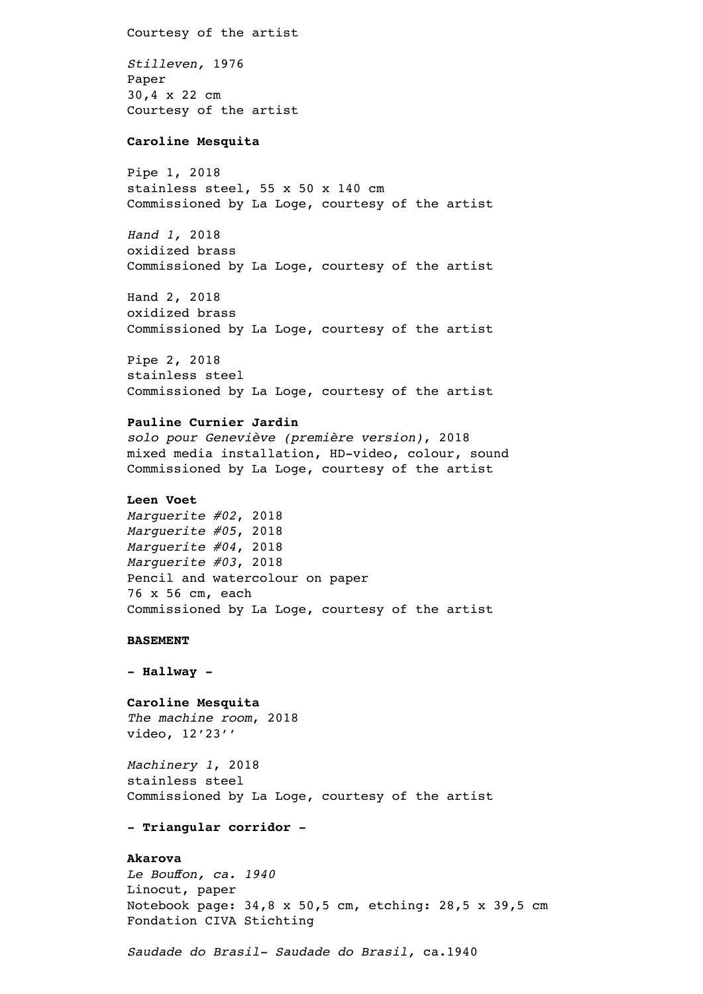Courtesy of the artist *Stilleven,* 1976 Paper 30,4 x 22 cm Courtesy of the artist

### **Caroline Mesquita**

Pipe 1, 2018 stainless steel, 55 x 50 x 140 cm Commissioned by La Loge, courtesy of the artist

*Hand 1,* 2018 oxidized brass Commissioned by La Loge, courtesy of the artist

Hand 2, 2018 oxidized brass Commissioned by La Loge, courtesy of the artist

Pipe 2, 2018 stainless steel Commissioned by La Loge, courtesy of the artist

# **Pauline Curnier Jardin**

*solo pour Geneviève (première version)*, 2018 mixed media installation, HD-video, colour, sound Commissioned by La Loge, courtesy of the artist

# **Leen Voet**

*Marguerite #02*, 2018 *Marguerite #05*, 2018 *Marguerite #04*, 2018 *Marguerite #03*, 2018 Pencil and watercolour on paper 76 x 56 cm, each Commissioned by La Loge, courtesy of the artist

#### **BASEMENT**

**- Hallway -** 

# **Caroline Mesquita**

*The machine room*, 2018 video, 12'23''

*Machinery 1*, 2018 stainless steel Commissioned by La Loge, courtesy of the artist

#### **- Triangular corridor -**

# **Akarova**

*Le Bouffon, ca. 1940* Linocut, paper Notebook page: 34,8 x 50,5 cm, etching: 28,5 x 39,5 cm Fondation CIVA Stichting

*Saudade do Brasil- Saudade do Brasil,* ca.1940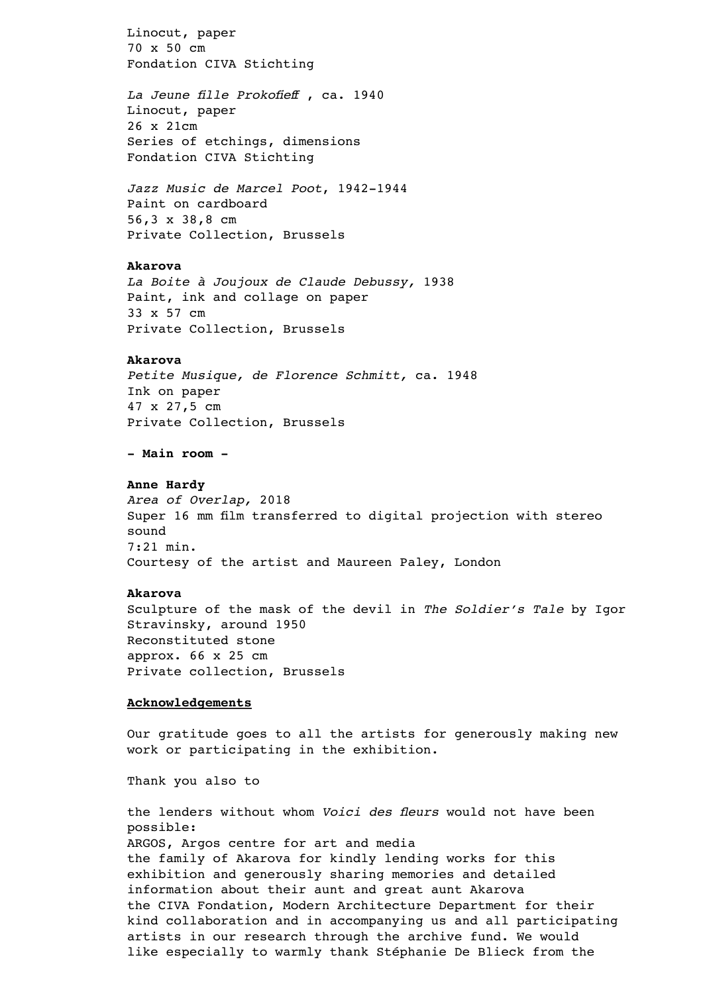Linocut, paper 70 x 50 cm Fondation CIVA Stichting

*La Jeune fille Prokofieff* , ca. 1940 Linocut, paper 26 x 21cm Series of etchings, dimensions Fondation CIVA Stichting

*Jazz Music de Marcel Poot*, 1942-1944 Paint on cardboard 56,3 x 38,8 cm Private Collection, Brussels

# **Akarova**

*La Boite à Joujoux de Claude Debussy,* 1938 Paint, ink and collage on paper 33 x 57 cm Private Collection, Brussels

#### **Akarova**

*Petite Musique, de Florence Schmitt,* ca. 1948 Ink on paper 47 x 27,5 cm Private Collection, Brussels

**- Main room -** 

## **Anne Hardy**

*Area of Overlap,* 2018 Super 16 mm film transferred to digital projection with stereo sound 7:21 min. Courtesy of the artist and Maureen Paley, London

# **Akarova**

Sculpture of the mask of the devil in *The Soldier's Tale* by Igor Stravinsky, around 1950 Reconstituted stone approx. 66 x 25 cm Private collection, Brussels

# **Acknowledgements**

Our gratitude goes to all the artists for generously making new work or participating in the exhibition.

Thank you also to

the lenders without whom *Voici des fleurs* would not have been possible: ARGOS, Argos centre for art and media the family of Akarova for kindly lending works for this exhibition and generously sharing memories and detailed information about their aunt and great aunt Akarova the CIVA Fondation, Modern Architecture Department for their kind collaboration and in accompanying us and all participating artists in our research through the archive fund. We would like especially to warmly thank Stéphanie De Blieck from the